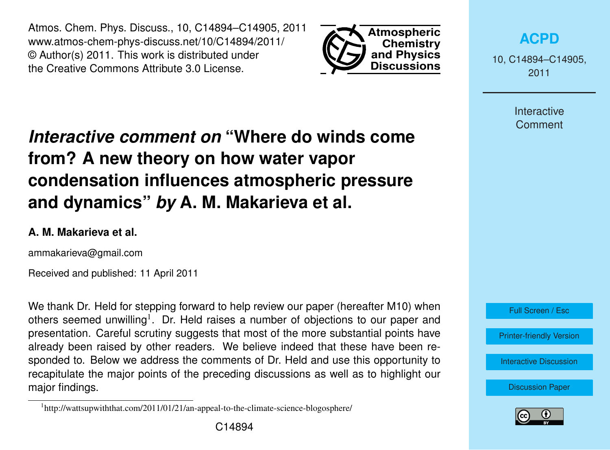Atmos. Chem. Phys. Discuss., 10, C14894–C14905, 2011 www.atmos-chem-phys-discuss.net/10/C14894/2011/ © Author(s) 2011. This work is distributed under the Creative Commons Attribute 3.0 License.



**[ACPD](http://www.atmos-chem-phys-discuss.net)**

10, C14894–C14905, 2011

> Interactive **Comment**

# *Interactive comment on* **"Where do winds come from? A new theory on how water vapor condensation influences atmospheric pressure and dynamics"** *by* **A. M. Makarieva et al.**

### **A. M. Makarieva et al.**

ammakarieva@gmail.com

Received and published: 11 April 2011

We thank Dr. Held for stepping forward to help review our paper (hereafter M10) when others seemed unwilling<sup>1</sup>. Dr. Held raises a number of objections to our paper and presentation. Careful scrutiny suggests that most of the more substantial points have already been raised by other readers. We believe indeed that these have been responded to. Below we address the comments of Dr. Held and use this opportunity to recapitulate the major points of the preceding discussions as well as to highlight our major findings.





<sup>&</sup>lt;sup>1</sup>http://wattsupwiththat.com/2011/01/21/an-appeal-to-the-climate-science-blogosphere/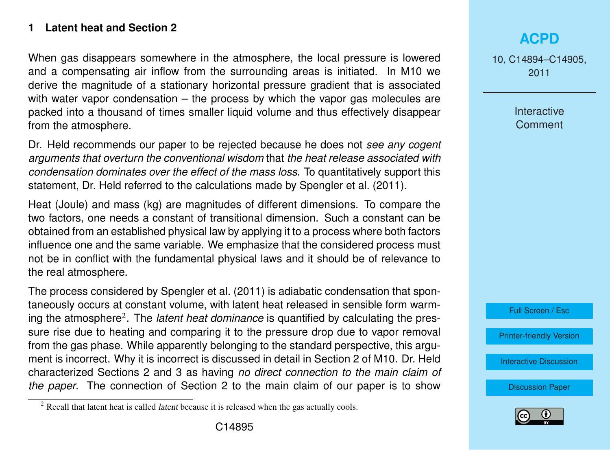### **1 Latent heat and Section 2**

When gas disappears somewhere in the atmosphere, the local pressure is lowered and a compensating air inflow from the surrounding areas is initiated. In M10 we derive the magnitude of a stationary horizontal pressure gradient that is associated with water vapor condensation – the process by which the vapor gas molecules are packed into a thousand of times smaller liquid volume and thus effectively disappear from the atmosphere.

Dr. Held recommends our paper to be rejected because he does not *see any cogent arguments that overturn the conventional wisdom* that *the heat release associated with condensation dominates over the effect of the mass loss*. To quantitatively support this statement, Dr. Held referred to the calculations made by [Spengler et al.](#page-11-0) [\(2011\)](#page-11-0).

Heat (Joule) and mass (kg) are magnitudes of different dimensions. To compare the two factors, one needs a constant of transitional dimension. Such a constant can be obtained from an established physical law by applying it to a process where both factors influence one and the same variable. We emphasize that the considered process must not be in conflict with the fundamental physical laws and it should be of relevance to the real atmosphere.

The process considered by [Spengler et al.](#page-11-0) [\(2011\)](#page-11-0) is adiabatic condensation that spontaneously occurs at constant volume, with latent heat released in sensible form warming the atmosphere<sup>2</sup>. The *latent heat dominance* is quantified by calculating the pressure rise due to heating and comparing it to the pressure drop due to vapor removal from the gas phase. While apparently belonging to the standard perspective, this argument is incorrect. Why it is incorrect is discussed in detail in Section 2 of M10. Dr. Held characterized Sections 2 and 3 as having *no direct connection to the main claim of the paper*. The connection of Section 2 to the main claim of our paper is to show

10, C14894–C14905, 2011

> Interactive **Comment**



[Printer-friendly Version](http://www.atmos-chem-phys-discuss.net/10/C14894/2011/acpd-10-C14894-2011-print.pdf)

[Interactive Discussion](http://www.atmos-chem-phys-discuss.net/10/24015/2010/acpd-10-24015-2010-discussion.html)



 $2$  Recall that latent heat is called *latent* because it is released when the gas actually cools.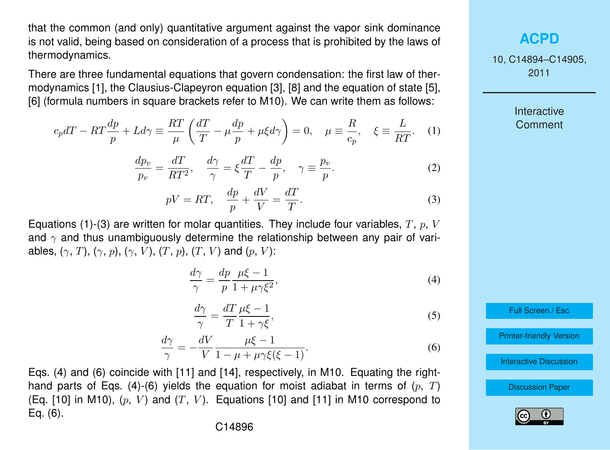<span id="page-2-0"></span>that the common (and only) quantitative argument against the vapor sink dominance is not valid, being based on consideration of a process that is prohibited by the laws of thermodynamics.

There are three fundamental equations that govern condensation: the first law of thermodynamics [1], the Clausius-Clapeyron equation [3], [8] and the equation of state [5], [6] (formula numbers in square brackets refer to M10). We can write them as follows:

$$
c_p dT - RT\frac{dp}{p} + Ld\gamma \equiv \frac{RT}{\mu} \left( \frac{dT}{T} - \mu \frac{dp}{p} + \mu \xi d\gamma \right) = 0, \quad \mu \equiv \frac{R}{c_p}, \quad \xi \equiv \frac{L}{RT}.
$$
 (1)

$$
\frac{dp_v}{p_v} = \frac{dT}{RT^2}, \quad \frac{d\gamma}{\gamma} = \xi \frac{dT}{T} - \frac{dp}{p}, \quad \gamma \equiv \frac{p_v}{p}.
$$
 (2)

$$
pV = RT, \quad \frac{dp}{p} + \frac{dV}{V} = \frac{dT}{T}.
$$
\n(3)

Equations (1)-(3) are written for molar quantities. They include four variables,  $T, p, V$ and  $\gamma$  and thus unambiguously determine the relationship between any pair of variables,  $(\gamma, T)$ ,  $(\gamma, p)$ ,  $(\gamma, V)$ ,  $(T, p)$ ,  $(T, V)$  and  $(p, V)$ :

$$
\frac{d\gamma}{\gamma} = \frac{dp}{p} \frac{\mu \xi - 1}{1 + \mu \gamma \xi^2},\tag{4}
$$

$$
\frac{d\gamma}{\gamma} = \frac{dT}{T} \frac{\mu \xi - 1}{1 + \gamma \xi},\tag{5}
$$

$$
\frac{d\gamma}{\gamma} = -\frac{dV}{V} \frac{\mu\xi - 1}{1 - \mu + \mu\gamma\xi(\xi - 1)}.
$$
\n(6)

Eqs. (4) and (6) coincide with [11] and [14], respectively, in M10. Equating the righthand parts of Eqs. (4)-(6) yields the equation for moist adiabat in terms of  $(p, T)$ (Eq. [10] in M10),  $(p, V)$  and  $(T, V)$ . Equations [10] and [11] in M10 correspond to Eq. (6).

## **[ACPD](http://www.atmos-chem-phys-discuss.net)**

10, C14894–C14905, 2011

> Interactive **Comment**

Full Screen / Esc

[Printer-friendly Version](http://www.atmos-chem-phys-discuss.net/10/C14894/2011/acpd-10-C14894-2011-print.pdf)

[Interactive Discussion](http://www.atmos-chem-phys-discuss.net/10/24015/2010/acpd-10-24015-2010-discussion.html)

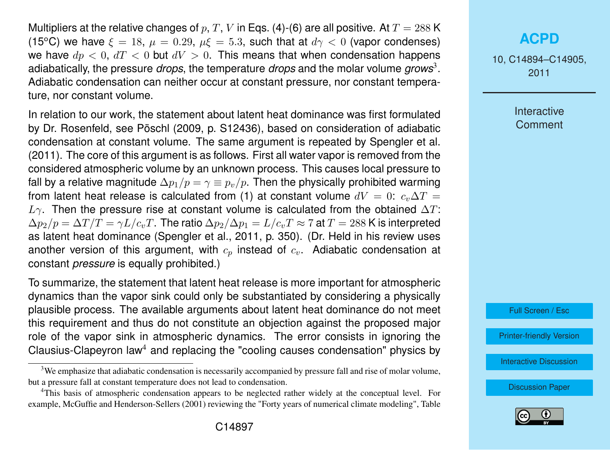Multipliers at the relative changes of p, T, V in Eqs. [\(4\)](#page-2-0)-[\(6\)](#page-2-0) are all positive. At  $T = 288$  K (15<sup>o</sup>C) we have  $\xi = 18$ ,  $\mu = 0.29$ ,  $\mu \xi = 5.3$ , such that at  $d\gamma < 0$  (vapor condenses) we have  $dp < 0$ ,  $dT < 0$  but  $dV > 0$ . This means that when condensation happens adiabatically, the pressure *drops*, the temperature *drops* and the molar volume *grows*<sup>3</sup> . Adiabatic condensation can neither occur at constant pressure, nor constant temperature, nor constant volume.

In relation to our work, the statement about latent heat dominance was first formulated by Dr. Rosenfeld, see [Pöschl](#page-11-0) [\(2009,](#page-11-0) p. S12436), based on consideration of adiabatic condensation at constant volume. The same argument is repeated by [Spengler et al.](#page-11-0) [\(2011\)](#page-11-0). The core of this argument is as follows. First all water vapor is removed from the considered atmospheric volume by an unknown process. This causes local pressure to fall by a relative magnitude  $\Delta p_1/p = \gamma \equiv p_p/p$ . Then the physically prohibited warming from latent heat release is calculated from [\(1\)](#page-2-0) at constant volume  $dV = 0$ :  $c_v\Delta T =$  $L_{\gamma}$ . Then the pressure rise at constant volume is calculated from the obtained  $\Delta T$ :  $\Delta p_2/p = \Delta T/T = \gamma L/c_vT$ . The ratio  $\Delta p_2/\Delta p_1 = L/c_vT \approx 7$  at  $T = 288$  K is interpreted as latent heat dominance [\(Spengler et al.,](#page-11-0) [2011,](#page-11-0) p. 350). (Dr. Held in his review uses another version of this argument, with  $c_p$  instead of  $c_v$ . Adiabatic condensation at constant *pressure* is equally prohibited.)

To summarize, the statement that latent heat release is more important for atmospheric dynamics than the vapor sink could only be substantiated by considering a physically plausible process. The available arguments about latent heat dominance do not meet this requirement and thus do not constitute an objection against the proposed major role of the vapor sink in atmospheric dynamics. The error consists in ignoring the Clausius-Clapeyron law<sup>4</sup> and replacing the "cooling causes condensation" physics by

# **[ACPD](http://www.atmos-chem-phys-discuss.net)**

10, C14894–C14905, 2011

> Interactive **Comment**



[Printer-friendly Version](http://www.atmos-chem-phys-discuss.net/10/C14894/2011/acpd-10-C14894-2011-print.pdf)

[Interactive Discussion](http://www.atmos-chem-phys-discuss.net/10/24015/2010/acpd-10-24015-2010-discussion.html)



<sup>&</sup>lt;sup>3</sup>We emphasize that adiabatic condensation is necessarily accompanied by pressure fall and rise of molar volume, but a pressure fall at constant temperature does not lead to condensation.

<sup>4</sup>This basis of atmospheric condensation appears to be neglected rather widely at the conceptual level. For example, [McGuffie and Henderson-Sellers](#page-11-0) [\(2001\)](#page-11-0) reviewing the "Forty years of numerical climate modeling", Table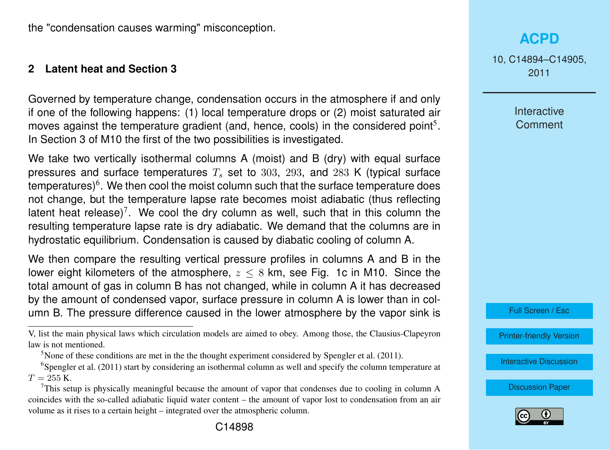the "condensation causes warming" misconception.

#### **2 Latent heat and Section 3**

Governed by temperature change, condensation occurs in the atmosphere if and only if one of the following happens: (1) local temperature drops or (2) moist saturated air moves against the temperature gradient (and, hence, cools) in the considered point<sup>5</sup>. In Section 3 of M10 the first of the two possibilities is investigated.

We take two vertically isothermal columns A (moist) and B (dry) with equal surface pressures and surface temperatures  $T<sub>s</sub>$  set to 303, 293, and 283 K (typical surface temperatures) $\rm^6.$  We then cool the moist column such that the surface temperature does not change, but the temperature lapse rate becomes moist adiabatic (thus reflecting latent heat release)<sup>7</sup>. We cool the dry column as well, such that in this column the resulting temperature lapse rate is dry adiabatic. We demand that the columns are in hydrostatic equilibrium. Condensation is caused by diabatic cooling of column A.

We then compare the resulting vertical pressure profiles in columns A and B in the lower eight kilometers of the atmosphere,  $z < 8$  km, see Fig. 1c in M10. Since the total amount of gas in column B has not changed, while in column A it has decreased by the amount of condensed vapor, surface pressure in column A is lower than in column B. The pressure difference caused in the lower atmosphere by the vapor sink is 10, C14894–C14905, 2011

> Interactive **Comment**

Full Screen / Esc

[Printer-friendly Version](http://www.atmos-chem-phys-discuss.net/10/C14894/2011/acpd-10-C14894-2011-print.pdf)

[Interactive Discussion](http://www.atmos-chem-phys-discuss.net/10/24015/2010/acpd-10-24015-2010-discussion.html)



V, list the main physical laws which circulation models are aimed to obey. Among those, the Clausius-Clapeyron law is not mentioned.

<sup>&</sup>lt;sup>5</sup>None of these conditions are met in the the thought experiment considered by [Spengler et al.](#page-11-0) [\(2011\)](#page-11-0).

<sup>6</sup> [Spengler et al.](#page-11-0) [\(2011\)](#page-11-0) start by considering an isothermal column as well and specify the column temperature at  $T = 255 K$ .

<sup>7</sup>This setup is physically meaningful because the amount of vapor that condenses due to cooling in column A coincides with the so-called adiabatic liquid water content – the amount of vapor lost to condensation from an air volume as it rises to a certain height – integrated over the atmospheric column.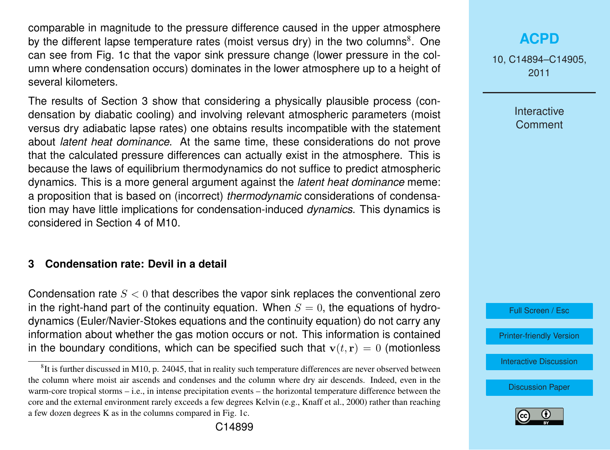comparable in magnitude to the pressure difference caused in the upper atmosphere by the different lapse temperature rates (moist versus dry) in the two columns<sup>8</sup>. One can see from Fig. 1c that the vapor sink pressure change (lower pressure in the column where condensation occurs) dominates in the lower atmosphere up to a height of several kilometers.

The results of Section 3 show that considering a physically plausible process (condensation by diabatic cooling) and involving relevant atmospheric parameters (moist versus dry adiabatic lapse rates) one obtains results incompatible with the statement about *latent heat dominance*. At the same time, these considerations do not prove that the calculated pressure differences can actually exist in the atmosphere. This is because the laws of equilibrium thermodynamics do not suffice to predict atmospheric dynamics. This is a more general argument against the *latent heat dominance* meme: a proposition that is based on (incorrect) *thermodynamic* considerations of condensation may have little implications for condensation-induced *dynamics*. This dynamics is considered in Section 4 of M10.

### **3 Condensation rate: Devil in a detail**

Condensation rate  $S < 0$  that describes the vapor sink replaces the conventional zero in the right-hand part of the continuity equation. When  $S = 0$ , the equations of hydrodynamics (Euler/Navier-Stokes equations and the continuity equation) do not carry any information about whether the gas motion occurs or not. This information is contained in the boundary conditions, which can be specified such that  $\mathbf{v}(t, \mathbf{r}) = 0$  (motionless

# **[ACPD](http://www.atmos-chem-phys-discuss.net)**

10, C14894–C14905, 2011

> Interactive **Comment**



[Printer-friendly Version](http://www.atmos-chem-phys-discuss.net/10/C14894/2011/acpd-10-C14894-2011-print.pdf)

[Interactive Discussion](http://www.atmos-chem-phys-discuss.net/10/24015/2010/acpd-10-24015-2010-discussion.html)



 ${}^{8}$ It is further discussed in M10, p. 24045, that in reality such temperature differences are never observed between the column where moist air ascends and condenses and the column where dry air descends. Indeed, even in the warm-core tropical storms – i.e., in intense precipitation events – the horizontal temperature difference between the core and the external environment rarely exceeds a few degrees Kelvin (e.g., [Knaff et al.,](#page-11-0) [2000\)](#page-11-0) rather than reaching a few dozen degrees K as in the columns compared in Fig. 1c.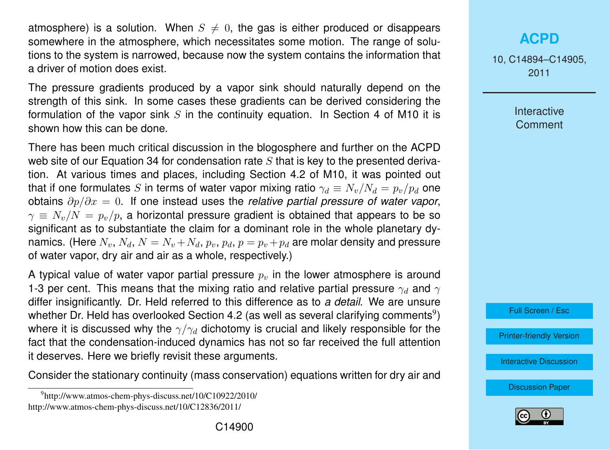atmosphere) is a solution. When  $S \neq 0$ , the gas is either produced or disappears somewhere in the atmosphere, which necessitates some motion. The range of solutions to the system is narrowed, because now the system contains the information that a driver of motion does exist.

The pressure gradients produced by a vapor sink should naturally depend on the strength of this sink. In some cases these gradients can be derived considering the formulation of the vapor sink  $S$  in the continuity equation. In Section 4 of M10 it is shown how this can be done.

There has been much critical discussion in the blogosphere and further on the ACPD web site of our Equation 34 for condensation rate  $S$  that is key to the presented derivation. At various times and places, including Section 4.2 of M10, it was pointed out that if one formulates S in terms of water vapor mixing ratio  $\gamma_d \equiv N_v/N_d = p_v/p_d$  one obtains ∂p/∂x = 0. If one instead uses the *relative partial pressure of water vapor*,  $\gamma \equiv N_v/N = p_v/p$ , a horizontal pressure gradient is obtained that appears to be so significant as to substantiate the claim for a dominant role in the whole planetary dynamics. (Here  $N_v$ ,  $N_d$ ,  $N = N_v + N_d$ ,  $p_v$ ,  $p_d$ ,  $p = p_v + p_d$  are molar density and pressure of water vapor, dry air and air as a whole, respectively.)

A typical value of water vapor partial pressure  $p<sub>v</sub>$  in the lower atmosphere is around 1-3 per cent. This means that the mixing ratio and relative partial pressure  $\gamma_d$  and  $\gamma$ differ insignificantly. Dr. Held referred to this difference as to *a detail*. We are unsure whether Dr. Held has overlooked Section 4.2 (as well as several clarifying comments $^9$ ) where it is discussed why the  $\gamma/\gamma_d$  dichotomy is crucial and likely responsible for the fact that the condensation-induced dynamics has not so far received the full attention it deserves. Here we briefly revisit these arguments.

Consider the stationary continuity (mass conservation) equations written for dry air and

# **[ACPD](http://www.atmos-chem-phys-discuss.net)**

10, C14894–C14905, 2011

> Interactive **Comment**



[Printer-friendly Version](http://www.atmos-chem-phys-discuss.net/10/C14894/2011/acpd-10-C14894-2011-print.pdf)

[Interactive Discussion](http://www.atmos-chem-phys-discuss.net/10/24015/2010/acpd-10-24015-2010-discussion.html)



<sup>9</sup> http://www.atmos-chem-phys-discuss.net/10/C10922/2010/ http://www.atmos-chem-phys-discuss.net/10/C12836/2011/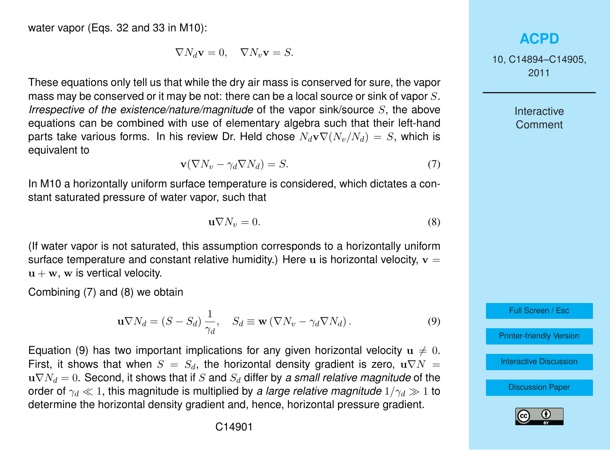<span id="page-7-0"></span>water vapor (Eqs. 32 and 33 in M10):

$$
\nabla N_d \mathbf{v} = 0, \quad \nabla N_v \mathbf{v} = S.
$$

These equations only tell us that while the dry air mass is conserved for sure, the vapor mass may be conserved or it may be not: there can be a local source or sink of vapor S. *Irrespective of the existence/nature/magnitude* of the vapor sink/source S, the above equations can be combined with use of elementary algebra such that their left-hand parts take various forms. In his review Dr. Held chose  $N_d\mathbf{v}\nabla(N_u/N_d) = S$ , which is equivalent to

$$
\mathbf{v}(\nabla N_v - \gamma_d \nabla N_d) = S. \tag{7}
$$

In M10 a horizontally uniform surface temperature is considered, which dictates a constant saturated pressure of water vapor, such that

$$
\mathbf{u}\nabla N_v = 0. \tag{8}
$$

(If water vapor is not saturated, this assumption corresponds to a horizontally uniform surface temperature and constant relative humidity.) Here u is horizontal velocity,  $v =$  $u + w$ , w is vertical velocity.

Combining (7) and (8) we obtain

$$
\mathbf{u}\nabla N_d = (S - S_d) \frac{1}{\gamma_d}, \quad S_d \equiv \mathbf{w} (\nabla N_v - \gamma_d \nabla N_d). \tag{9}
$$

Equation (9) has two important implications for any given horizontal velocity  $u \neq 0$ . First, it shows that when  $S = S_d$ , the horizontal density gradient is zero,  $\mathbf{u} \nabla N =$  $u\nabla N_d = 0$ . Second, it shows that if S and  $S_d$  differ by a small relative magnitude of the order of  $\gamma_d \ll 1$ , this magnitude is multiplied by *a large relative magnitude*  $1/\gamma_d \gg 1$  to determine the horizontal density gradient and, hence, horizontal pressure gradient.

### **[ACPD](http://www.atmos-chem-phys-discuss.net)**

10, C14894–C14905, 2011

> Interactive **Comment**

Full Screen / Esc

[Printer-friendly Version](http://www.atmos-chem-phys-discuss.net/10/C14894/2011/acpd-10-C14894-2011-print.pdf)

[Interactive Discussion](http://www.atmos-chem-phys-discuss.net/10/24015/2010/acpd-10-24015-2010-discussion.html)

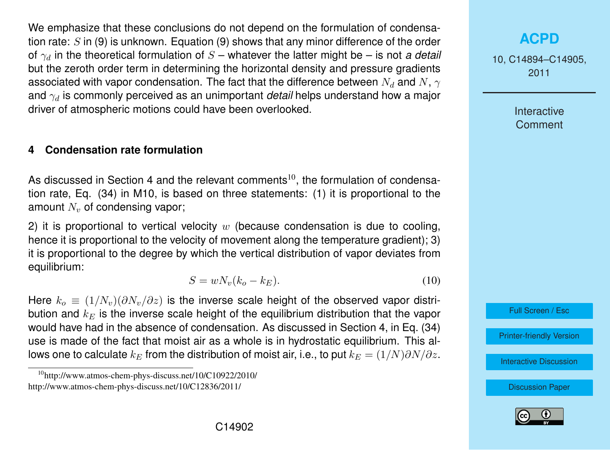<span id="page-8-0"></span>We emphasize that these conclusions do not depend on the formulation of condensation rate:  $S$  in [\(9\)](#page-7-0) is unknown. Equation (9) shows that any minor difference of the order of  $\gamma_d$  in the theoretical formulation of  $S$  – whatever the latter might be – is not *a detail* but the zeroth order term in determining the horizontal density and pressure gradients associated with vapor condensation. The fact that the difference between  $N_d$  and  $N, \gamma$ and  $\gamma_d$  is commonly perceived as an unimportant *detail* helps understand how a major driver of atmospheric motions could have been overlooked.

#### **4 Condensation rate formulation**

As discussed in Section 4 and the relevant comments<sup>10</sup>, the formulation of condensation rate, Eq. (34) in M10, is based on three statements: (1) it is proportional to the amount  $N_v$  of condensing vapor;

2) it is proportional to vertical velocity  $w$  (because condensation is due to cooling, hence it is proportional to the velocity of movement along the temperature gradient); 3) it is proportional to the degree by which the vertical distribution of vapor deviates from equilibrium:

$$
S = wN_v(k_o - k_E). \tag{10}
$$

Here  $k_o \equiv (1/N_v)(\partial N_v/\partial z)$  is the inverse scale height of the observed vapor distribution and  $k_E$  is the inverse scale height of the equilibrium distribution that the vapor would have had in the absence of condensation. As discussed in Section 4, in Eq. (34) use is made of the fact that moist air as a whole is in hydrostatic equilibrium. This allows one to calculate  $k_E$  from the distribution of moist air, i.e., to put  $k_E = (1/N)\partial N/\partial z$ .

# **[ACPD](http://www.atmos-chem-phys-discuss.net)**

10, C14894–C14905, 2011

> Interactive Comment



[Printer-friendly Version](http://www.atmos-chem-phys-discuss.net/10/C14894/2011/acpd-10-C14894-2011-print.pdf)

[Interactive Discussion](http://www.atmos-chem-phys-discuss.net/10/24015/2010/acpd-10-24015-2010-discussion.html)



<sup>10</sup>http://www.atmos-chem-phys-discuss.net/10/C10922/2010/ http://www.atmos-chem-phys-discuss.net/10/C12836/2011/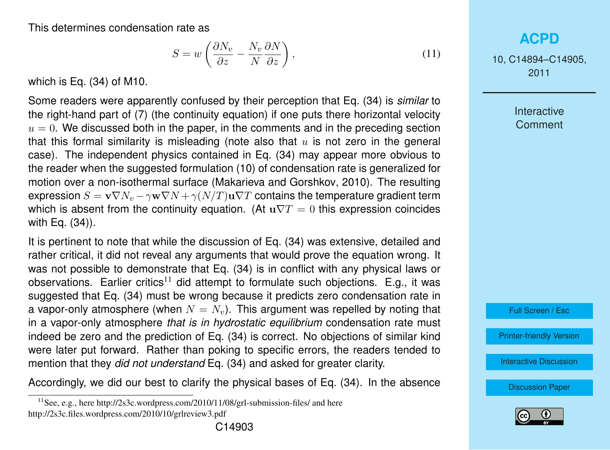<span id="page-9-0"></span>This determines condensation rate as

$$
S = w \left( \frac{\partial N_v}{\partial z} - \frac{N_v}{N} \frac{\partial N}{\partial z} \right),\tag{11}
$$

which is Eq. (34) of M10.

Some readers were apparently confused by their perception that Eq. (34) is *similar* to the right-hand part of [\(7\)](#page-7-0) (the continuity equation) if one puts there horizontal velocity  $u = 0$ . We discussed both in the paper, in the comments and in the preceding section that this formal similarity is misleading (note also that  $u$  is not zero in the general case). The independent physics contained in Eq. (34) may appear more obvious to the reader when the suggested formulation [\(10\)](#page-8-0) of condensation rate is generalized for motion over a non-isothermal surface [\(Makarieva and Gorshkov,](#page-11-0) [2010\)](#page-11-0). The resulting expression  $S = \mathbf{v} \nabla N_v - \gamma \mathbf{w} \nabla N + \gamma (N/T) \mathbf{u} \nabla T$  contains the temperature gradient term which is absent from the continuity equation. (At  $u\nabla T = 0$  this expression coincides with Eq. (34)).

It is pertinent to note that while the discussion of Eq. (34) was extensive, detailed and rather critical, it did not reveal any arguments that would prove the equation wrong. It was not possible to demonstrate that Eq. (34) is in conflict with any physical laws or observations. Earlier critics<sup>11</sup> did attempt to formulate such objections. E.g., it was suggested that Eq. (34) must be wrong because it predicts zero condensation rate in a vapor-only atmosphere (when  $N = N_v$ ). This argument was repelled by noting that in a vapor-only atmosphere *that is in hydrostatic equilibrium* condensation rate must indeed be zero and the prediction of Eq. (34) is correct. No objections of similar kind were later put forward. Rather than poking to specific errors, the readers tended to mention that they *did not understand* Eq. (34) and asked for greater clarity.

Accordingly, we did our best to clarify the physical bases of Eq. (34). In the absence

# **[ACPD](http://www.atmos-chem-phys-discuss.net)**

10, C14894–C14905, 2011

> Interactive **Comment**

Full Screen / Esc

[Printer-friendly Version](http://www.atmos-chem-phys-discuss.net/10/C14894/2011/acpd-10-C14894-2011-print.pdf)

[Interactive Discussion](http://www.atmos-chem-phys-discuss.net/10/24015/2010/acpd-10-24015-2010-discussion.html)



 $11$ See, e.g., here http://2s3c.wordpress.com/2010/11/08/grl-submission-files/ and here http://2s3c.files.wordpress.com/2010/10/grlreview3.pdf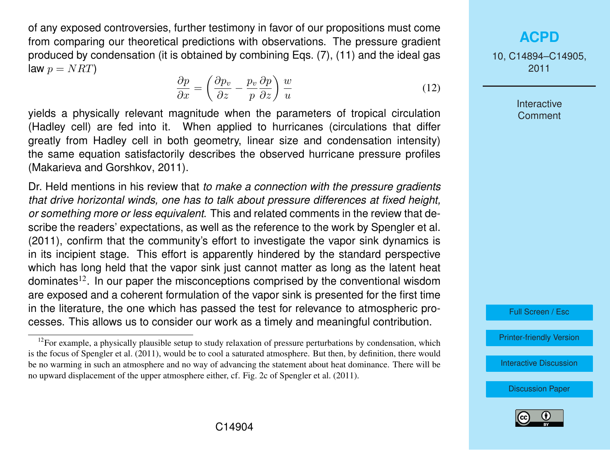of any exposed controversies, further testimony in favor of our propositions must come from comparing our theoretical predictions with observations. The pressure gradient produced by condensation (it is obtained by combining Eqs. [\(7\)](#page-7-0), [\(11\)](#page-9-0) and the ideal gas law  $p = NRT$ 

$$
\frac{\partial p}{\partial x} = \left(\frac{\partial p_v}{\partial z} - \frac{p_v}{p} \frac{\partial p}{\partial z}\right) \frac{w}{u}
$$
\n(12)

yields a physically relevant magnitude when the parameters of tropical circulation (Hadley cell) are fed into it. When applied to hurricanes (circulations that differ greatly from Hadley cell in both geometry, linear size and condensation intensity) the same equation satisfactorily describes the observed hurricane pressure profiles [\(Makarieva and Gorshkov,](#page-11-0) [2011\)](#page-11-0).

Dr. Held mentions in his review that *to make a connection with the pressure gradients that drive horizontal winds, one has to talk about pressure differences at fixed height, or something more or less equivalent*. This and related comments in the review that describe the readers' expectations, as well as the reference to the work by [Spengler et al.](#page-11-0) [\(2011\)](#page-11-0), confirm that the community's effort to investigate the vapor sink dynamics is in its incipient stage. This effort is apparently hindered by the standard perspective which has long held that the vapor sink just cannot matter as long as the latent heat dominates<sup>12</sup>. In our paper the misconceptions comprised by the conventional wisdom are exposed and a coherent formulation of the vapor sink is presented for the first time in the literature, the one which has passed the test for relevance to atmospheric processes. This allows us to consider our work as a timely and meaningful contribution.

**[ACPD](http://www.atmos-chem-phys-discuss.net)**

10, C14894–C14905, 2011

> **Interactive Comment**

Full Screen / Esc

[Printer-friendly Version](http://www.atmos-chem-phys-discuss.net/10/C14894/2011/acpd-10-C14894-2011-print.pdf)

[Interactive Discussion](http://www.atmos-chem-phys-discuss.net/10/24015/2010/acpd-10-24015-2010-discussion.html)



 $12$ For example, a physically plausible setup to study relaxation of pressure perturbations by condensation, which is the focus of [Spengler et al.](#page-11-0) [\(2011\)](#page-11-0), would be to cool a saturated atmosphere. But then, by definition, there would be no warming in such an atmosphere and no way of advancing the statement about heat dominance. There will be no upward displacement of the upper atmosphere either, cf. Fig. 2c of [Spengler et al.](#page-11-0) [\(2011\)](#page-11-0).